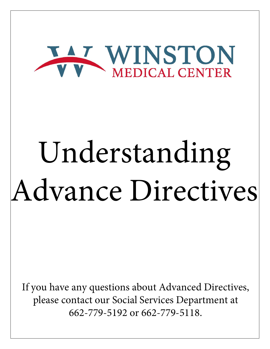

# Understanding Advance Directives

If you have any questions about Advanced Directives, please contact our Social Services Department at 662-779-5192 or 662-779-5118.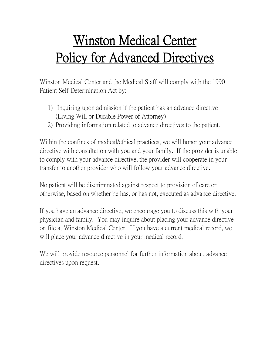# Winston Medical Center Policy for Advanced Directives

Winston Medical Center and the Medical Staff will comply with the 1990 Patient Self Determination Act by:

- 1) Inquiring upon admission if the patient has an advance directive (Living Will or Durable Power of Attorney)
- 2) Providing information related to advance directives to the patient.

Within the confines of medical/ethical practices, we will honor your advance directive with consultation with you and your family. If the provider is unable to comply with your advance directive, the provider will cooperate in your transfer to another provider who will follow your advance directive.

No patient will be discriminated against respect to provision of care or otherwise, based on whether he has, or has not, executed as advance directive.

If you have an advance directive, we encourage you to discuss this with your physician and family. You may inquire about placing your advance directive on file at Winston Medical Center. If you have a current medical record, we will place your advance directive in your medical record.

We will provide resource personnel for further information about, advance directives upon request.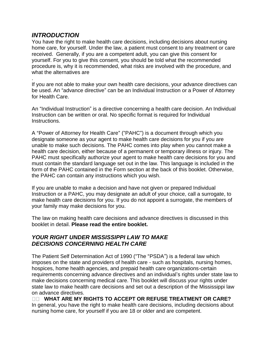#### *INTRODUCTION*

You have the right to make health care decisions, including decisions about nursing home care, for yourself. Under the law, a patient must consent to any treatment or care received. Generally, if you are a competent adult, you can give this consent for yourself. For you to give this consent, you should be told what the recommended procedure is, why it is recommended, what risks are involved with the procedure, and what the alternatives are

. If you are not able to make your own health care decisions, your advance directives can be used. An "advance directive" can be an Individual Instruction or a Power of Attorney for Health Care.

An "Individual Instruction" is a directive concerning a health care decision. An Individual Instruction can be written or oral. No specific format is required for Individual Instructions.

A "Power of Attorney for Health Care" ("PAHC") is a document through which you designate someone as your agent to make health care decisions for you if you are unable to make such decisions. The PAHC comes into play when you cannot make a health care decision, either because of a permanent or temporary illness or injury. The PAHC must specifically authorize your agent to make health care decisions for you and must contain the standard language set out in the law. This language is included in the form of the PAHC contained in the Form section at the back of this booklet. Otherwise, the PAHC can contain any instructions which you wish.

If you are unable to make a decision and have not given or prepared Individual Instruction or a PAHC, you may designate an adult of your choice, call a surrogate, to make health care decisions for you. If you do not appoint a surrogate, the members of your family may make decisions for you.

The law on making health care decisions and advance directives is discussed in this booklet in detail. **Please read the entire booklet.** 

#### *YOUR RIGHT UNDER MISSISSIPPI LAW TO MAKE DECISIONS CONCERNING HEALTH CARE*

The Patient Self Determination Act of 1990 ("The "PSDA") is a federal law which imposes on the state and providers of health care - such as hospitals, nursing homes, hospices, home health agencies, and prepaid health care organizations-certain requirements concerning advance directives and an individual's rights under state law to make decisions concerning medical care. This booklet will discuss your rights under state law to make health care decisions and set out a description of the Mississippi law on advance directives.

**WHAT ARE MY RIGHTS TO ACCEPT OR REFUSE TREATMENT OR CARE?**  In general, you have the right to make health care decisions, including decisions about nursing home care, for yourself if you are 18 or older and are competent.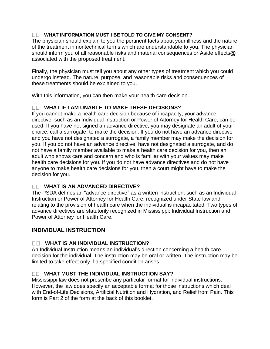#### **WHAT INFORMATION MUST I BE TOLD TO GIVE MY CONSENT?**

The physician should explain to you the pertinent facts about your illness and the nature of the treatment in nontechnical terms which are understandable to you. The physician should inform you of all reasonable risks and material consequences or Aside effects@ associated with the proposed treatment.

Finally, the physician must tell you about any other types of treatment which you could undergo instead. The nature, purpose, and reasonable risks and consequences of these treatments should be explained to you.

With this information, you can then make your health care decision.

#### **WHAT IF I AM UNABLE TO MAKE THESE DECISIONS?**

If you cannot make a health care decision because of incapacity, your advance directive, such as an Individual Instruction or Power of Attorney for Health Care, can be used. If you have not signed an advance directive, you may designate an adult of your choice, call a surrogate, to make the decision. If you do not have an advance directive and you have not designated a surrogate, a family member may make the decision for you. If you do not have an advance directive, have not designated a surrogate, and do not have a family member available to make a health care decision for you, then an adult who shows care and concern and who is familiar with your values may make health care decisions for you. If you do not have advance directives and do not have anyone to make health care decisions for you, then a court might have to make the decision for you.

#### **WHAT IS AN ADVANCED DIRECTIVE?**

The PSDA defines an "advance directive" as a written instruction, such as an Individual Instruction or Power of Attorney for Health Care, recognized under State law and relating to the provision of health care when the individual is incapacitated. Two types of advance directives are statutorily recognized in Mississippi: Individual Instruction and Power of Attorney for Health Care.

#### **INDIVIDUAL INSTRUCTION**

#### **WHAT IS AN INDIVIDUAL INSTRUCTION?**

An Individual Instruction means an individual's direction concerning a health care decision for the individual. The instruction may be oral or written. The instruction may be limited to take effect only if a specified condition arises.

#### **WHAT MUST THE INDIVIDUAL INSTRUCTION SAY?**

Mississippi law does not prescribe any particular format for individual instructions. However, the law does specify an acceptable format for those instructions which deal with End-of-Life Decisions, Artificial Nutrition and Hydration, and Relief from Pain. This form is Part 2 of the form at the back of this booklet.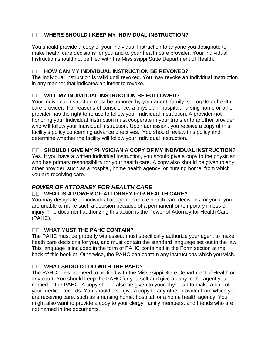#### **WHERE SHOULD I KEEP MY INDIVIDUAL INSTRUCTION?**

You should provide a copy of your Individual Instruction to anyone you designate to make health care decisions for you and to your health care provider. Your Individual Instruction should not be filed with the Mississippi State Department of Health.

#### **HOW CAN MY INDIVIDUAL INSTRUCTION BE REVOKED?**

The Individual Instruction is valid until revoked. You may revoke an Individual Instruction in any manner that indicates an intent to revoke.

#### **WILL MY INDIVIDUAL INSTRUCTION BE FOLLOWED?**

Your Individual Instruction must be honored by your agent, family, surrogate or health care provider. For reasons of conscience, a physician, hospital, nursing home or other provider has the right to refuse to follow your Individual Instruction. A provider not honoring your Individual Instruction must cooperate in your transfer to another provider who will follow your Individual Instruction. Upon admission, you receive a copy of this facility's policy concerning advance directives. You should review this policy and determine whether the facility will follow your Individual Instruction.

#### **SHOULD I GIVE MY PHYSICIAN A COPY OF MY INDIVIDUAL INSTRUCTION?**

Yes. If you have a written Individual Instruction, you should give a copy to the physician who has primary responsibility for your health care. A copy also should be given to any other provider, such as a hospital, home health agency, or nursing home, from which you are receiving care.

#### *POWER OF ATTORNEY FOR HEALTH CARE*

#### **WHAT IS A POWER OF ATTORNEY FOR HEALTH CARE?**

You may designate an individual or agent to make health care decisions for you if you are unable to make such a decision because of a permanent or temporary illness or injury. The document authorizing this action is the Power of Attorney for Health Care (PAHC).

#### **WHAT MUST THE PAHC CONTAIN?**

The PAHC must be properly witnessed, must specifically authorize your agent to make heath care decisions for you, and must contain the standard language set out in the law. This language is included in the form of PAHC contained in the Form section at the back of this booklet. Otherwise, the PAHC can contain any instructions which you wish.

#### **WHAT SHOULD I DO WITH THE PAHC?**

The PAHC does not need to be filed with the Mississippi State Department of Health or any court. You should keep the PAHC for yourself and give a copy to the agent you named in the PAHC. A copy should also be given to your physician to make a part of your medical records. You should also give a copy to any other provider from which you are receiving care, such as a nursing home, hospital, or a home health agency. You might also want to provide a copy to your clergy, family members, and friends who are not named in the documents.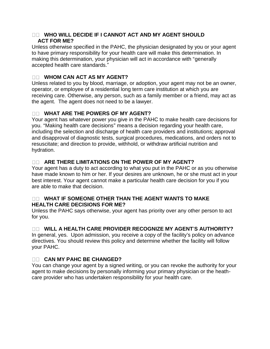#### **WHO WILL DECIDE IF I CANNOT ACT AND MY AGENT SHOULD ACT FOR ME?**

Unless otherwise specified in the PAHC, the physician designated by you or your agent to have primary responsibility for your health care will make this determination. In making this determination, your physician will act in accordance with "generally accepted health care standards."

#### **THE WHOM CAN ACT AS MY AGENT?**

Unless related to you by blood, marriage, or adoption, your agent may not be an owner, operator, or employee of a residential long term care institution at which you are receiving care. Otherwise, any person, such as a family member or a friend, may act as the agent. The agent does not need to be a lawyer.

#### **THE POWERS OF MY AGENT?**

Your agent has whatever power you give in the PAHC to make health care decisions for you. "Making health care decisions" means a decision regarding your health care, including the selection and discharge of health care providers and institutions; approval and disapproval of diagnostic tests, surgical procedures, medications, and orders not to resuscitate; and direction to provide, withhold, or withdraw artificial nutrition and hydration.

#### **ARE THERE LIMITATIONS ON THE POWER OF MY AGENT?**

Your agent has a duty to act according to what you put in the PAHC or as you otherwise have made known to him or her. If your desires are unknown, he or she must act in your best interest. Your agent cannot make a particular health care decision for you if you are able to make that decision.

#### **WHAT IF SOMEONE OTHER THAN THE AGENT WANTS TO MAKE HEALTH CARE DECISIONS FOR ME?**

Unless the PAHC says otherwise, your agent has priority over any other person to act for you.

#### **WILL A HEALTH CARE PROVIDER RECOGNIZE MY AGENT S AUTHORITY?**

In general, yes. Upon admission, you receive a copy of the facility's policy on advance directives. You should review this policy and determine whether the facility will follow your PAHC.

#### **CAN MY PAHC BE CHANGED?**

You can change your agent by a signed writing, or you can revoke the authority for your agent to make decisions by personally informing your primary physician or the heathcare provider who has undertaken responsibility for your health care.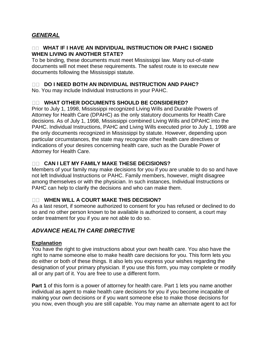#### *GENERAL*

#### **WHAT IF I HAVE AN INDIVIDUAL INSTRUCTION OR PAHC I SIGNED WHEN LIVING IN ANOTHER STATE?**

To be binding, these documents must meet Mississippi law. Many out-of-state documents will not meet these requirements. The safest route is to execute new documents following the Mississippi statute.

#### **DO I NEED BOTH AN INDIVIDUAL INSTRUCTION AND PAHC?**

No. You may include Individual Instructions in your PAHC.

#### **WHAT OTHER DOCUMENTS SHOULD BE CONSIDERED?**

Prior to July 1, 1998, Mississippi recognized Living Wills and Durable Powers of Attorney for Health Care (DPAHC) as the only statutory documents for Health Care decisions. As of July 1, 1998, Mississippi combined Living Wills and DPAHC into the PAHC. Individual Instructions, PAHC and Living Wills executed prior to July 1, 1998 are the only documents recognized in Mississippi by statute. However, depending upon particular circumstances, the state may recognize other health care directives or indications of your desires concerning health care, such as the Durable Power of Attorney for Health Care.

#### **CAN I LET MY FAMILY MAKE THESE DECISIONS?**

Members of your family may make decisions for you if you are unable to do so and have not left Individual Instructions or PAHC. Family members, however, might disagree among themselves or with the physician. In such instances, Individual Instructions or PAHC can help to clarify the decisions and who can make them.

#### **WHEN WILL A COURT MAKE THIS DECISION?**

As a last resort, if someone authorized to consent for you has refused or declined to do so and no other person known to be available is authorized to consent, a court may order treatment for you if you are not able to do so.

#### *ADVANCE HEALTH CARE DIRECTIVE*

#### **Explanation**

You have the right to give instructions about your own health care. You also have the right to name someone else to make health care decisions for you. This form lets you do either or both of these things. It also lets you express your wishes regarding the designation of your primary physician. If you use this form, you may complete or modify all or any part of it. You are free to use a different form.

**Part 1** of this form is a power of attorney for health care. Part 1 lets you name another individual as agent to make health care decisions for you if you become incapable of making your own decisions or if you want someone else to make those decisions for you now, even though you are still capable. You may name an alternate agent to act for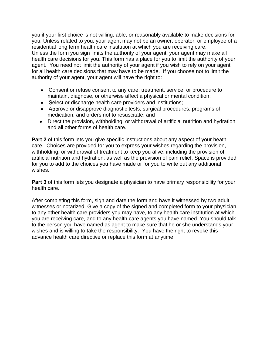you if your first choice is not willing, able, or reasonably available to make decisions for you. Unless related to you, your agent may not be an owner, operator, or employee of a residential long term health care institution at which you are receiving care. Unless the form you sign limits the authority of your agent, your agent may make all health care decisions for you. This form has a place for you to limit the authority of your agent. You need not limit the authority of your agent if you wish to rely on your agent for all health care decisions that may have to be made. If you choose not to limit the authority of your agent, your agent will have the right to:

- Consent or refuse consent to any care, treatment, service, or procedure to maintain, diagnose, or otherwise affect a physical or mental condition;
- Select or discharge health care providers and institutions;
- Approve or disapprove diagnostic tests, surgical procedures, programs of medication, and orders not to resuscitate; and
- Direct the provision, withholding, or withdrawal of artificial nutrition and hydration and all other forms of health care.

**Part 2** of this form lets you give specific instructions about any aspect of your heath care. Choices are provided for you to express your wishes regarding the provision, withholding, or withdrawal of treatment to keep you alive, including the provision of artificial nutrition and hydration, as well as the provision of pain relief. Space is provided for you to add to the choices you have made or for you to write out any additional wishes.

**Part 3** of this form lets you designate a physician to have primary responsibility for your health care.

After completing this form, sign and date the form and have it witnessed by two adult witnesses or notarized. Give a copy of the signed and completed form to your physician, to any other health care providers you may have, to any health care institution at which you are receiving care, and to any health care agents you have named. You should talk to the person you have named as agent to make sure that he or she understands your wishes and is willing to take the responsibility. You have the right to revoke this advance health care directive or replace this form at anytime.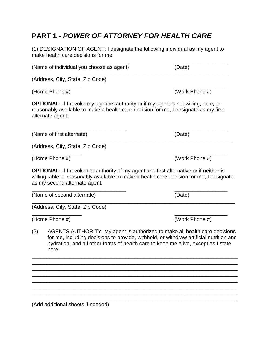## **PART 1** - *POWER OF ATTORNEY FOR HEALTH CARE*

(1) DESIGNATION OF AGENT: I designate the following individual as my agent to make health care decisions for me.

\_\_\_\_\_\_\_\_\_\_\_\_\_\_\_\_\_\_\_\_\_\_\_\_\_\_\_\_\_\_\_\_\_\_\_\_\_\_\_\_\_\_\_\_\_\_\_\_\_\_\_\_\_\_\_\_\_\_\_\_\_\_\_\_\_\_\_ (Address, City, State, Zip Code) \_\_\_\_\_\_\_\_\_\_\_\_\_\_\_\_\_ \_\_\_\_\_\_\_\_\_\_\_\_\_\_\_\_\_\_ (Home Phone #) (Work Phone #) **OPTIONAL:** If I revoke my agent s authority or if my agent is not willing, able, or reasonably available to make a health care decision for me, I designate as my first alternate agent: \_\_\_\_\_\_\_\_\_\_\_\_\_\_\_\_\_\_\_\_\_\_\_\_\_\_\_\_\_\_\_\_ \_\_\_\_\_\_\_\_\_\_\_\_\_\_\_\_\_\_ (Name of first alternate) (Date) \_\_\_\_\_\_\_\_\_\_\_\_\_\_\_\_\_\_\_\_\_\_\_\_\_\_\_\_\_\_\_\_\_\_\_\_\_\_\_\_\_\_\_\_\_\_\_\_\_\_\_\_\_\_\_\_\_\_\_\_\_\_\_\_\_\_\_\_ (Address, City, State, Zip Code)  $\overline{\phantom{a}}$  , and the contract of the contract of the contract of the contract of the contract of the contract of the contract of the contract of the contract of the contract of the contract of the contract of the contrac (Home Phone #) (Work Phone #) **OPTIONAL:** If I revoke the authority of my agent and first alternative or if neither is willing, able or reasonably available to make a health care decision for me, I designate as my second alternate agent: \_\_\_\_\_\_\_\_\_\_\_\_\_\_\_\_\_\_\_\_\_\_\_\_\_\_\_\_\_\_\_\_ \_\_\_\_\_\_\_\_\_\_\_\_\_\_\_\_\_\_ (Name of second alternate) (Date)

(Address, City, State, Zip Code)

(Home Phone #) (Work Phone #)

(2) AGENTS AUTHORITY: My agent is authorized to make all health care decisions for me, including decisions to provide, withhold, or withdraw artificial nutrition and hydration, and all other forms of health care to keep me alive, except as I state here:

\_\_\_\_\_\_\_\_\_\_\_\_\_\_\_\_\_\_\_\_\_\_\_\_\_\_\_\_\_\_\_\_\_\_\_\_\_\_\_\_\_\_\_\_\_\_\_\_\_\_\_\_\_\_\_\_\_\_\_\_\_\_\_\_\_\_\_\_\_\_ \_\_\_\_\_\_\_\_\_\_\_\_\_\_\_\_\_\_\_\_\_\_\_\_\_\_\_\_\_\_\_\_\_\_\_\_\_\_\_\_\_\_\_\_\_\_\_\_\_\_\_\_\_\_\_\_\_\_\_\_\_\_\_\_\_\_\_\_\_\_ \_\_\_\_\_\_\_\_\_\_\_\_\_\_\_\_\_\_\_\_\_\_\_\_\_\_\_\_\_\_\_\_\_\_\_\_\_\_\_\_\_\_\_\_\_\_\_\_\_\_\_\_\_\_\_\_\_\_\_\_\_\_\_\_\_\_\_\_\_\_ \_\_\_\_\_\_\_\_\_\_\_\_\_\_\_\_\_\_\_\_\_\_\_\_\_\_\_\_\_\_\_\_\_\_\_\_\_\_\_\_\_\_\_\_\_\_\_\_\_\_\_\_\_\_\_\_\_\_\_\_\_\_\_\_\_\_\_\_\_\_ \_\_\_\_\_\_\_\_\_\_\_\_\_\_\_\_\_\_\_\_\_\_\_\_\_\_\_\_\_\_\_\_\_\_\_\_\_\_\_\_\_\_\_\_\_\_\_\_\_\_\_\_\_\_\_\_\_\_\_\_\_\_\_\_\_\_\_\_\_\_ \_\_\_\_\_\_\_\_\_\_\_\_\_\_\_\_\_\_\_\_\_\_\_\_\_\_\_\_\_\_\_\_\_\_\_\_\_\_\_\_\_\_\_\_\_\_\_\_\_\_\_\_\_\_\_\_\_\_\_\_\_\_\_\_\_\_\_\_\_\_ \_\_\_\_\_\_\_\_\_\_\_\_\_\_\_\_\_\_\_\_\_\_\_\_\_\_\_\_\_\_\_\_\_\_\_\_\_\_\_\_\_\_\_\_\_\_\_\_\_\_\_\_\_\_\_\_\_\_\_\_\_\_\_\_\_\_\_\_\_\_ \_\_\_\_\_\_\_\_\_\_\_\_\_\_\_\_\_\_\_\_\_\_\_\_\_\_\_\_\_\_\_\_\_\_\_\_\_\_\_\_\_\_\_\_\_\_\_\_\_\_\_\_\_\_\_\_\_\_\_\_\_\_\_\_\_\_\_\_\_\_

(Add additional sheets if needed)

\_\_\_\_\_\_\_\_\_\_\_\_\_\_\_\_\_\_\_\_\_\_\_\_\_\_\_\_\_\_\_\_\_\_\_\_\_\_\_\_\_\_\_\_\_\_\_\_\_\_\_\_\_\_\_\_\_\_\_\_\_\_\_\_\_\_\_\_\_

\_\_\_\_\_\_\_\_\_\_\_\_\_\_\_\_\_ \_\_\_\_\_\_\_\_\_\_\_\_\_\_\_\_\_\_

\_\_\_\_\_\_\_\_\_\_\_\_\_\_\_\_\_\_\_\_\_\_\_\_\_\_\_\_\_\_\_\_\_ \_\_\_\_\_\_\_\_\_\_\_\_\_\_\_\_\_\_ (Name of individual you choose as agent) (Date)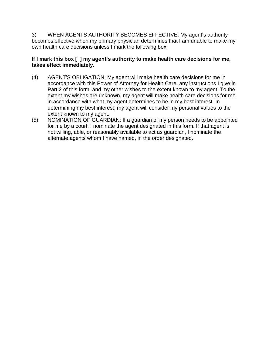3) WHEN AGENTS AUTHORITY BECOMES EFFECTIVE: My agent's authority becomes effective when my primary physician determines that I am unable to make my own health care decisions unless I mark the following box.

#### **If I mark this box [ ] my agent's authority to make health care decisions for me, takes effect immediately.**

- (4) AGENT'S OBLIGATION: My agent will make health care decisions for me in accordance with this Power of Attorney for Health Care, any instructions I give in Part 2 of this form, and my other wishes to the extent known to my agent. To the extent my wishes are unknown, my agent will make health care decisions for me in accordance with what my agent determines to be in my best interest. In determining my best interest, my agent will consider my personal values to the extent known to my agent.
- (5) NOMINATION OF GUARDIAN: If a guardian of my person needs to be appointed for me by a court, I nominate the agent designated in this form. If that agent is not willing, able, or reasonably available to act as guardian, I nominate the alternate agents whom I have named, in the order designated.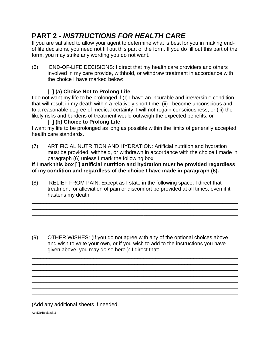# **PART 2 -** *INSTRUCTIONS FOR HEALTH CARE*

If you are satisfied to allow your agent to determine what is best for you in making endof life decisions, you need not fill out this part of the form. If you do fill out this part of the form, you may strike any wording you do not want.

(6) END-OF-LIFE DECISIONS: I direct that my health care providers and others involved in my care provide, withhold, or withdraw treatment in accordance with the choice I have marked below:

#### **[ ] (a) Choice Not to Prolong Life**

I do not want my life to be prolonged if (I) I have an incurable and irreversible condition that will result in my death within a relatively short time, (ii) I become unconscious and, to a reasonable degree of medical certainty, I will not regain consciousness, or (iii) the likely risks and burdens of treatment would outweigh the expected benefits, or

#### **[ ] (b) Choice to Prolong Life**

I want my life to be prolonged as long as possible within the limits of generally accepted health care standards.

(7) ARTIFICIAL NUTRITION AND HYDRATION: Artificial nutrition and hydration must be provided, withheld, or withdrawn in accordance with the choice I made in paragraph (6) unless I mark the following box.

#### **If I mark this box [ ] artificial nutrition and hydration must be provided regardless of my condition and regardless of the choice I have made in paragraph (6).**

(8) RELIEF FROM PAIN: Except as I state in the following space, I direct that treatment for alleviation of pain or discomfort be provided at all times, even if it hastens my death:

\_\_\_\_\_\_\_\_\_\_\_\_\_\_\_\_\_\_\_\_\_\_\_\_\_\_\_\_\_\_\_\_\_\_\_\_\_\_\_\_\_\_\_\_\_\_\_\_\_\_\_\_\_\_\_\_\_\_\_\_\_\_\_\_\_\_\_\_\_\_ \_\_\_\_\_\_\_\_\_\_\_\_\_\_\_\_\_\_\_\_\_\_\_\_\_\_\_\_\_\_\_\_\_\_\_\_\_\_\_\_\_\_\_\_\_\_\_\_\_\_\_\_\_\_\_\_\_\_\_\_\_\_\_\_\_\_\_\_\_\_ \_\_\_\_\_\_\_\_\_\_\_\_\_\_\_\_\_\_\_\_\_\_\_\_\_\_\_\_\_\_\_\_\_\_\_\_\_\_\_\_\_\_\_\_\_\_\_\_\_\_\_\_\_\_\_\_\_\_\_\_\_\_\_\_\_\_\_\_\_\_ \_\_\_\_\_\_\_\_\_\_\_\_\_\_\_\_\_\_\_\_\_\_\_\_\_\_\_\_\_\_\_\_\_\_\_\_\_\_\_\_\_\_\_\_\_\_\_\_\_\_\_\_\_\_\_\_\_\_\_\_\_\_\_\_\_\_\_\_\_\_ \_\_\_\_\_\_\_\_\_\_\_\_\_\_\_\_\_\_\_\_\_\_\_\_\_\_\_\_\_\_\_\_\_\_\_\_\_\_\_\_\_\_\_\_\_\_\_\_\_\_\_\_\_\_\_\_\_\_\_\_\_\_\_\_\_\_\_\_\_\_

#### (9) OTHER WISHES: (If you do not agree with any of the optional choices above and wish to write your own, or if you wish to add to the instructions you have given above, you may do so here.): I direct that:

\_\_\_\_\_\_\_\_\_\_\_\_\_\_\_\_\_\_\_\_\_\_\_\_\_\_\_\_\_\_\_\_\_\_\_\_\_\_\_\_\_\_\_\_\_\_\_\_\_\_\_\_\_\_\_\_\_\_\_\_\_\_\_\_\_\_\_\_\_\_ \_\_\_\_\_\_\_\_\_\_\_\_\_\_\_\_\_\_\_\_\_\_\_\_\_\_\_\_\_\_\_\_\_\_\_\_\_\_\_\_\_\_\_\_\_\_\_\_\_\_\_\_\_\_\_\_\_\_\_\_\_\_\_\_\_\_\_\_\_\_ \_\_\_\_\_\_\_\_\_\_\_\_\_\_\_\_\_\_\_\_\_\_\_\_\_\_\_\_\_\_\_\_\_\_\_\_\_\_\_\_\_\_\_\_\_\_\_\_\_\_\_\_\_\_\_\_\_\_\_\_\_\_\_\_\_\_\_\_\_\_ \_\_\_\_\_\_\_\_\_\_\_\_\_\_\_\_\_\_\_\_\_\_\_\_\_\_\_\_\_\_\_\_\_\_\_\_\_\_\_\_\_\_\_\_\_\_\_\_\_\_\_\_\_\_\_\_\_\_\_\_\_\_\_\_\_\_\_\_\_\_ \_\_\_\_\_\_\_\_\_\_\_\_\_\_\_\_\_\_\_\_\_\_\_\_\_\_\_\_\_\_\_\_\_\_\_\_\_\_\_\_\_\_\_\_\_\_\_\_\_\_\_\_\_\_\_\_\_\_\_\_\_\_\_\_\_\_\_\_\_\_ \_\_\_\_\_\_\_\_\_\_\_\_\_\_\_\_\_\_\_\_\_\_\_\_\_\_\_\_\_\_\_\_\_\_\_\_\_\_\_\_\_\_\_\_\_\_\_\_\_\_\_\_\_\_\_\_\_\_\_\_\_\_\_\_\_\_\_\_\_\_ \_\_\_\_\_\_\_\_\_\_\_\_\_\_\_\_\_\_\_\_\_\_\_\_\_\_\_\_\_\_\_\_\_\_\_\_\_\_\_\_\_\_\_\_\_\_\_\_\_\_\_\_\_\_\_\_\_\_\_\_\_\_\_\_\_\_\_\_\_\_ \_\_\_\_\_\_\_\_\_\_\_\_\_\_\_\_\_\_\_\_\_\_\_\_\_\_\_\_\_\_\_\_\_\_\_\_\_\_\_\_\_\_\_\_\_\_\_\_\_\_\_\_\_\_\_\_\_\_\_\_\_\_\_\_\_\_\_\_\_\_

#### (Add any additional sheets if needed.

AdvDir/Booklet511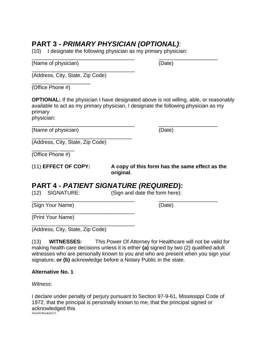# **PART 3 -** *PRIMARY PHYSICIAN (OPTIONAL)*:

(10) I designate the following physician as my primary physician:

(Name of physician) (Date)

\_\_\_\_\_\_\_\_\_\_\_\_\_\_\_\_\_\_\_\_\_\_\_\_\_\_\_\_\_\_\_\_\_\_\_ \_\_\_\_\_\_\_\_\_\_\_\_\_\_\_\_\_\_\_\_

\_\_\_\_\_\_\_\_\_\_\_\_\_\_\_\_\_\_\_\_\_\_\_\_\_\_\_\_\_\_\_\_\_\_\_ (Address, City, State, Zip Code)

\_\_\_\_\_\_\_\_\_\_\_\_\_\_\_\_\_\_\_\_ (Office Phone #)

**OPTIONAL:** If the physician I have designated above is not willing, able, or reasonably available to act as my primary physician, I designate the following physician as my primary

physician: \_\_\_\_\_\_\_\_\_\_\_\_\_\_\_\_\_\_\_\_\_\_\_\_\_\_\_\_\_\_\_\_\_\_\_ \_\_\_\_\_\_\_\_\_\_\_\_\_\_\_\_\_\_\_\_

(Name of physician) (Date)

(Address, City, State, Zip Code)

\_\_\_\_\_\_\_\_\_\_\_\_\_\_\_\_\_\_\_\_\_\_\_\_\_\_\_\_\_\_\_\_\_\_

\_\_\_\_\_\_\_\_\_\_\_\_\_\_\_\_\_\_\_\_\_\_\_\_\_\_\_\_\_\_\_\_\_\_\_

\_\_\_\_\_\_\_\_\_ \_\_\_\_\_ (Office Phone #)

(11) **EFFECT OF COPY: A copy of this form has the same effect as the original**.

### **PART 4 -** *PATIENT SIGNATURE (REQUIRED***):**

(12) SIGNATURE: (Sign and date the form here):

(Sign Your Name) (Date)

\_\_\_\_\_\_\_\_\_\_\_\_\_\_\_\_\_\_\_\_\_\_\_\_\_\_\_\_\_\_\_\_\_\_\_ \_\_\_\_\_\_\_\_\_\_\_\_\_\_\_\_\_\_\_\_

(Print Your Name)

\_\_\_\_\_\_\_\_\_\_\_\_\_\_\_\_\_\_\_\_\_\_\_\_\_\_\_\_\_\_\_\_\_\_\_ (Address, City, State, Zip Code)

(13) **WITNESSES:** This Power Of Attorney for Healthcare will not be valid for making health care decisions unless it is either **(a)** signed by two (2) qualified adult witnesses who are personally known to you and who are present when you sign your signature; *or* **(b)** acknowledge before a Notary Public in the state.

#### **Alternative No. 1**

*Witness*:

I declare under penalty of perjury pursuant to Section 97-9-61, Mississippi Code of 1972, that the principal is personally known to me, that the principal signed or acknowledged this AdvDir/Booklet511